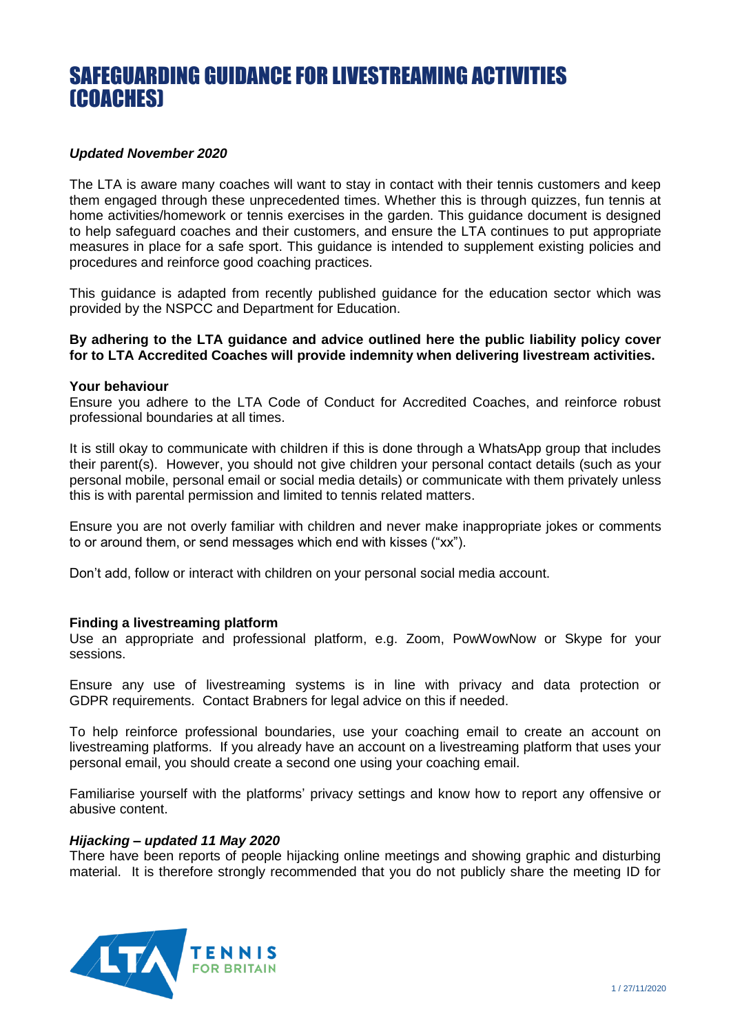# SAFEGUARDING GUIDANCE FOR LIVESTREAMING ACTIVITIES (COACHES)

# *Updated November 2020*

The LTA is aware many coaches will want to stay in contact with their tennis customers and keep them engaged through these unprecedented times. Whether this is through quizzes, fun tennis at home activities/homework or tennis exercises in the garden. This guidance document is designed to help safeguard coaches and their customers, and ensure the LTA continues to put appropriate measures in place for a safe sport. This guidance is intended to supplement existing policies and procedures and reinforce good coaching practices.

This guidance is adapted from recently published guidance for the education sector which was provided by the NSPCC and Department for Education.

**By adhering to the LTA guidance and advice outlined here the public liability policy cover for to LTA Accredited Coaches will provide indemnity when delivering livestream activities.** 

#### **Your behaviour**

Ensure you adhere to the LTA Code of Conduct for Accredited Coaches, and reinforce robust professional boundaries at all times.

It is still okay to communicate with children if this is done through a WhatsApp group that includes their parent(s). However, you should not give children your personal contact details (such as your personal mobile, personal email or social media details) or communicate with them privately unless this is with parental permission and limited to tennis related matters.

Ensure you are not overly familiar with children and never make inappropriate jokes or comments to or around them, or send messages which end with kisses ("xx").

Don't add, follow or interact with children on your personal social media account.

### **Finding a livestreaming platform**

Use an appropriate and professional platform, e.g. Zoom, PowWowNow or Skype for your sessions.

Ensure any use of livestreaming systems is in line with privacy and data protection or GDPR requirements. Contact Brabners for legal advice on this if needed.

To help reinforce professional boundaries, use your coaching email to create an account on livestreaming platforms. If you already have an account on a livestreaming platform that uses your personal email, you should create a second one using your coaching email.

Familiarise yourself with the platforms' privacy settings and know how to report any offensive or abusive content.

# *Hijacking – updated 11 May 2020*

There have been reports of people hijacking online meetings and showing graphic and disturbing material. It is therefore strongly recommended that you do not publicly share the meeting ID for

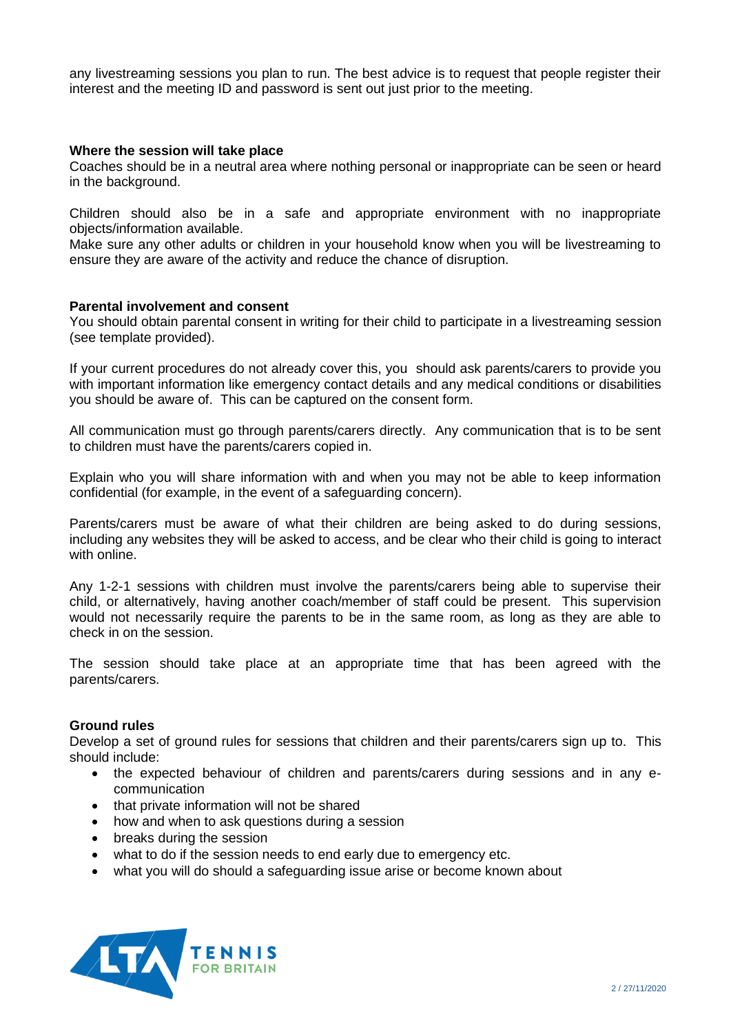any livestreaming sessions you plan to run. The best advice is to request that people register their interest and the meeting ID and password is sent out just prior to the meeting.

### **Where the session will take place**

Coaches should be in a neutral area where nothing personal or inappropriate can be seen or heard in the background.

Children should also be in a safe and appropriate environment with no inappropriate objects/information available.

Make sure any other adults or children in your household know when you will be livestreaming to ensure they are aware of the activity and reduce the chance of disruption.

#### **Parental involvement and consent**

You should obtain parental consent in writing for their child to participate in a livestreaming session (see template provided).

If your current procedures do not already cover this, you should ask parents/carers to provide you with important information like emergency contact details and any medical conditions or disabilities you should be aware of. This can be captured on the consent form.

All communication must go through parents/carers directly. Any communication that is to be sent to children must have the parents/carers copied in.

Explain who you will share information with and when you may not be able to keep information confidential (for example, in the event of a safeguarding concern).

Parents/carers must be aware of what their children are being asked to do during sessions, including any websites they will be asked to access, and be clear who their child is going to interact with online.

Any 1-2-1 sessions with children must involve the parents/carers being able to supervise their child, or alternatively, having another coach/member of staff could be present. This supervision would not necessarily require the parents to be in the same room, as long as they are able to check in on the session.

The session should take place at an appropriate time that has been agreed with the parents/carers.

### **Ground rules**

Develop a set of ground rules for sessions that children and their parents/carers sign up to. This should include:

- the expected behaviour of children and parents/carers during sessions and in any ecommunication
- that private information will not be shared
- how and when to ask questions during a session
- breaks during the session
- what to do if the session needs to end early due to emergency etc.
- what you will do should a safeguarding issue arise or become known about

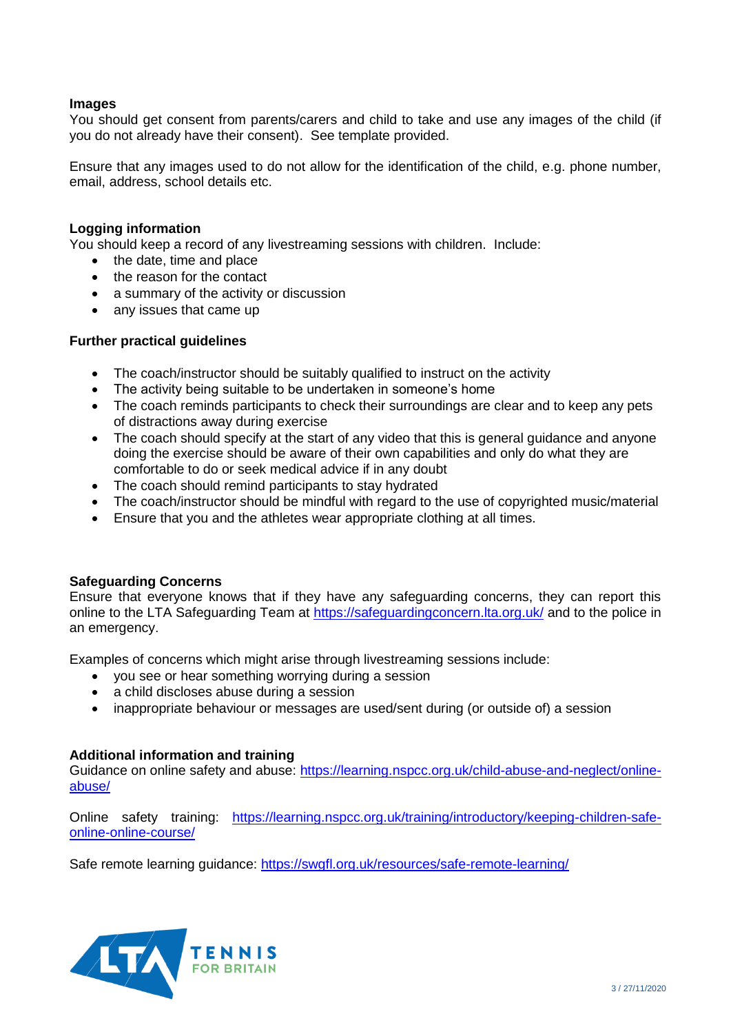# **Images**

You should get consent from parents/carers and child to take and use any images of the child (if you do not already have their consent). See template provided.

Ensure that any images used to do not allow for the identification of the child, e.g. phone number, email, address, school details etc.

## **Logging information**

You should keep a record of any livestreaming sessions with children. Include:

- the date, time and place
- the reason for the contact
- a summary of the activity or discussion
- any issues that came up

## **Further practical guidelines**

- The coach/instructor should be suitably qualified to instruct on the activity
- The activity being suitable to be undertaken in someone's home
- The coach reminds participants to check their surroundings are clear and to keep any pets of distractions away during exercise
- The coach should specify at the start of any video that this is general guidance and anyone doing the exercise should be aware of their own capabilities and only do what they are comfortable to do or seek medical advice if in any doubt
- The coach should remind participants to stay hydrated
- The coach/instructor should be mindful with regard to the use of copyrighted music/material
- Ensure that you and the athletes wear appropriate clothing at all times.

### **Safeguarding Concerns**

Ensure that everyone knows that if they have any safeguarding concerns, they can report this online to the LTA Safeguarding Team at https://safeguardingconcern. Ita.org.uk/ and to the police in an emergency.

Examples of concerns which might arise through livestreaming sessions include:

- you see or hear something worrying during a session
- a child discloses abuse during a session
- inappropriate behaviour or messages are used/sent during (or outside of) a session

### **Additional information and training**

Guidance on online safety and abuse: [https://learning.nspcc.org.uk/child-abuse-and-neglect/online](https://learning.nspcc.org.uk/child-abuse-and-neglect/online-abuse/)[abuse/](https://learning.nspcc.org.uk/child-abuse-and-neglect/online-abuse/)

Online safety training: [https://learning.nspcc.org.uk/training/introductory/keeping-children-safe](https://learning.nspcc.org.uk/training/introductory/keeping-children-safe-online-online-course/)[online-online-course/](https://learning.nspcc.org.uk/training/introductory/keeping-children-safe-online-online-course/)

Safe remote learning guidance:<https://swgfl.org.uk/resources/safe-remote-learning/>